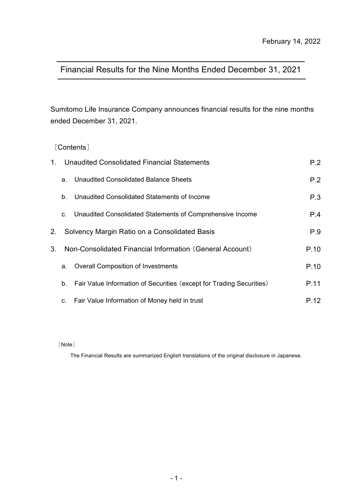# Financial Results for the Nine Months Ended December 31, 2021

Sumitomo Life Insurance Company announces financial results for the nine months ended December 31, 2021.

[Contents]

| $1_{-}$ |    | Unaudited Consolidated Financial Statements                          | P.2  |
|---------|----|----------------------------------------------------------------------|------|
|         | a. | Unaudited Consolidated Balance Sheets                                | P.2  |
|         | b. | Unaudited Consolidated Statements of Income                          | P.3  |
|         | C. | Unaudited Consolidated Statements of Comprehensive Income            | P.4  |
| 2.      |    | Solvency Margin Ratio on a Consolidated Basis                        | P.9  |
| 3.      |    | Non-Consolidated Financial Information (General Account)             | P.10 |
|         | a. | <b>Overall Composition of Investments</b>                            | P.10 |
|         | b. | Fair Value Information of Securities (except for Trading Securities) | P.11 |
|         | C. | Fair Value Information of Money held in trust                        | P.12 |

[Note]

The Financial Results are summarized English translations of the original disclosure in Japanese.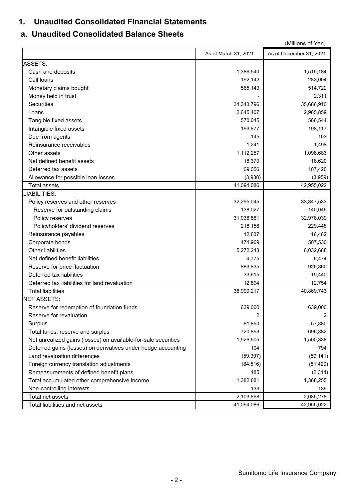# **1. Unaudited Consolidated Financial Statements**

# **a. Unaudited Consolidated Balance Sheets**

|                                                                |                      | (Millions of Yen)       |
|----------------------------------------------------------------|----------------------|-------------------------|
|                                                                | As of March 31, 2021 | As of December 31, 2021 |
| <b>ASSETS:</b>                                                 |                      |                         |
| Cash and deposits                                              | 1,386,540            | 1,515,184               |
| Call loans                                                     | 192,142              | 283,004                 |
| Monetary claims bought                                         | 565,143              | 514,722                 |
| Money held in trust                                            |                      | 2,311                   |
| Securities                                                     | 34, 343, 796         | 35,686,910              |
| Loans                                                          | 2,645,407            | 2,965,859               |
| Tangible fixed assets                                          | 570,045              | 566,544                 |
| Intangible fixed assets                                        | 193,877              | 198,117                 |
| Due from agents                                                | 145                  | 103                     |
| Reinsurance receivables                                        | 1,241                | 1,498                   |
| Other assets                                                   | 1,112,257            | 1,098,683               |
| Net defined benefit assets                                     | 18,370               | 18,620                  |
| Deferred tax assets                                            | 69,056               | 107,420                 |
| Allowance for possible loan losses                             | (3,938)              | (3,959)                 |
| <b>Total assets</b>                                            | 41,094,086           | 42,955,022              |
| LIABILITIES:                                                   |                      |                         |
| Policy reserves and other reserves                             | 32,295,045           | 33, 347, 533            |
| Reserve for outstanding claims                                 | 138,027              | 140,046                 |
| Policy reserves                                                | 31,938,861           | 32,978,039              |
| Policyholders' dividend reserves                               | 218,156              | 229,448                 |
| Reinsurance payables                                           | 12,837               | 16,462                  |
| Corporate bonds                                                | 474,969              | 507,530                 |
| Other liabilities                                              | 5,272,243            | 6,032,688               |
| Net defined benefit liabilities                                | 4,775                | 6,474                   |
| Reserve for price fluctuation                                  | 883,835              | 926,860                 |
| Deferred tax liabilities                                       | 33,615               | 19,440                  |
| Deferred tax liabilities for land revaluation                  | 12,894               | 12,754                  |
| <b>Total liabilities</b>                                       | 38,990,217           | 40,869,743              |
| <b>NET ASSETS:</b>                                             |                      |                         |
| Reserve for redemption of foundation funds                     | 639,000              | 639,000                 |
| Reserve for revaluation                                        | 2                    | 2                       |
| Surplus                                                        | 81,850               | 57,880                  |
| Total funds, reserve and surplus                               | 720,853              | 696,882                 |
| Net unrealized gains (losses) on available-for-sale securities | 1,526,505            | 1,500,338               |
| Deferred gains (losses) on derivatives under hedge accounting  | 104                  | 794                     |
| Land revaluation differences                                   | (59, 397)            | (59, 141)               |
| Foreign currency translation adjustments                       | (84, 516)            | (51, 420)               |
| Remeasurements of defined benefit plans                        | 185                  | (2,314)                 |
| Total accumulated other comprehensive income                   | 1,382,881            | 1,388,255               |
| Non-controlling interests                                      | 133                  | 139                     |
| Total net assets                                               | 2,103,868            | 2,085,278               |
| Total liabilities and net assets                               | 41,094,086           | 42,955,022              |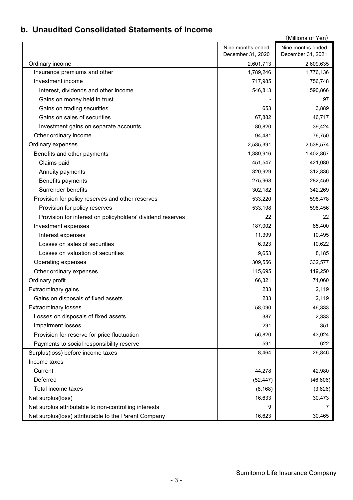# **b. Unaudited Consolidated Statements of Income**

|                                                            |                                        | (Millions of Yen)                      |
|------------------------------------------------------------|----------------------------------------|----------------------------------------|
|                                                            | Nine months ended<br>December 31, 2020 | Nine months ended<br>December 31, 2021 |
|                                                            | 2,601,713                              | 2,609,635                              |
| Ordinary income<br>Insurance premiums and other            | 1,789,246                              | 1,776,136                              |
| Investment income                                          | 717,985                                | 756,748                                |
| Interest, dividends and other income                       | 546,813                                | 590,866                                |
| Gains on money held in trust                               |                                        | 97                                     |
| Gains on trading securities                                | 653                                    | 3,889                                  |
| Gains on sales of securities                               | 67,882                                 | 46,717                                 |
|                                                            |                                        |                                        |
| Investment gains on separate accounts                      | 80,820                                 | 39,424                                 |
| Other ordinary income                                      | 94,481                                 | 76,750                                 |
| Ordinary expenses                                          | 2,535,391                              | 2,538,574                              |
| Benefits and other payments                                | 1,389,916                              | 1,402,867                              |
| Claims paid                                                | 451,547                                | 421,080                                |
| Annuity payments                                           | 320,929                                | 312,836                                |
| Benefits payments                                          | 275,968                                | 282,459                                |
| Surrender benefits                                         | 302,182                                | 342,269                                |
| Provision for policy reserves and other reserves           | 533,220                                | 598,478                                |
| Provision for policy reserves                              | 533,198                                | 598,456                                |
| Provision for interest on policyholders' dividend reserves | 22                                     | 22                                     |
| Investment expenses                                        | 187,002                                | 85,400                                 |
| Interest expenses                                          | 11,399                                 | 10,495                                 |
| Losses on sales of securities                              | 6,923                                  | 10,622                                 |
| Losses on valuation of securities                          | 9,653                                  | 8,185                                  |
| Operating expenses                                         | 309,556                                | 332,577                                |
| Other ordinary expenses                                    | 115,695                                | 119,250                                |
| Ordinary profit                                            | 66,321                                 | 71,060                                 |
| Extraordinary gains                                        | 233                                    | 2,119                                  |
| Gains on disposals of fixed assets                         | 233                                    | 2,119                                  |
| <b>Extraordinary losses</b>                                | 58,090                                 | 46,333                                 |
| Losses on disposals of fixed assets                        | 387                                    | 2,333                                  |
| Impairment losses                                          | 291                                    | 351                                    |
| Provision for reserve for price fluctuation                | 56,820                                 | 43,024                                 |
| Payments to social responsibility reserve                  | 591                                    | 622                                    |
| Surplus(loss) before income taxes                          | 8,464                                  | 26,846                                 |
| Income taxes                                               |                                        |                                        |
| Current                                                    | 44,278                                 | 42,980                                 |
| Deferred                                                   | (52, 447)                              | (46, 606)                              |
| Total income taxes                                         | (8, 168)                               | (3,626)                                |
| Net surplus(loss)                                          | 16,633                                 | 30,473                                 |
| Net surplus attributable to non-controlling interests      | 9                                      | 7                                      |
| Net surplus(loss) attributable to the Parent Company       | 16,623                                 | 30,465                                 |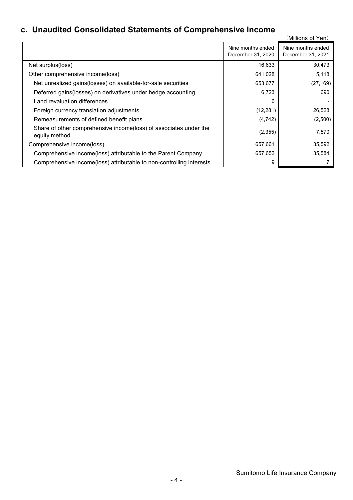# **c. Unaudited Consolidated Statements of Comprehensive Income**

| Unaudited Consondated Statements of Complements we income                          |                                        | (Millions of Yen)                      |
|------------------------------------------------------------------------------------|----------------------------------------|----------------------------------------|
|                                                                                    | Nine months ended<br>December 31, 2020 | Nine months ended<br>December 31, 2021 |
| Net surplus(loss)                                                                  | 16,633                                 | 30,473                                 |
| Other comprehensive income(loss)                                                   | 641,028                                | 5,118                                  |
| Net unrealized gains (losses) on available-for-sale securities                     | 653,677                                | (27, 169)                              |
| Deferred gains (losses) on derivatives under hedge accounting                      | 6,723                                  | 690                                    |
| Land revaluation differences                                                       | 6                                      |                                        |
| Foreign currency translation adjustments                                           | (12, 281)                              | 26,528                                 |
| Remeasurements of defined benefit plans                                            | (4, 742)                               | (2,500)                                |
| Share of other comprehensive income(loss) of associates under the<br>equity method | (2,355)                                | 7,570                                  |
| Comprehensive income(loss)                                                         | 657,661                                | 35,592                                 |
| Comprehensive income(loss) attributable to the Parent Company                      | 657,652                                | 35,584                                 |
| Comprehensive income(loss) attributable to non-controlling interests               | 9                                      |                                        |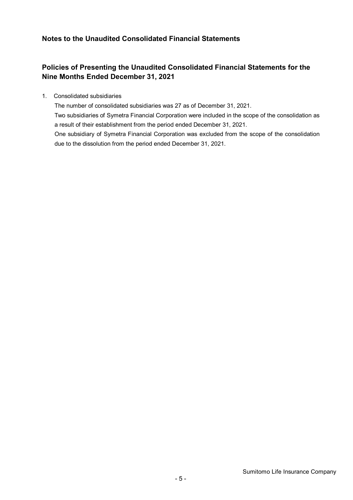## **Notes to the Unaudited Consolidated Financial Statements**

due to the dissolution from the period ended December 31, 2021.

## **Policies of Presenting the Unaudited Consolidated Financial Statements for the Nine Months Ended December 31, 2021**

1. Consolidated subsidiaries

The number of consolidated subsidiaries was 27 as of December 31, 2021. Two subsidiaries of Symetra Financial Corporation were included in the scope of the consolidation as a result of their establishment from the period ended December 31, 2021. One subsidiary of Symetra Financial Corporation was excluded from the scope of the consolidation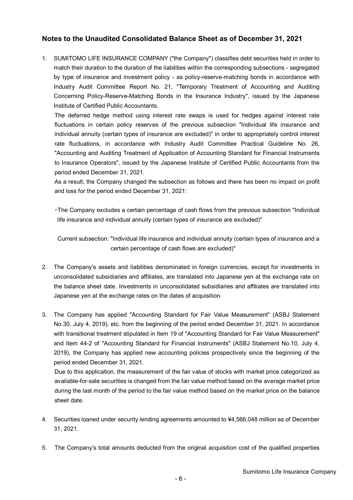### **Notes to the Unaudited Consolidated Balance Sheet as of December 31, 2021**

1. SUMITOMO LIFE INSURANCE COMPANY ("the Company") classifies debt securities held in order to match their duration to the duration of the liabilities within the corresponding subsections - segregated by type of insurance and investment policy - as policy-reserve-matching bonds in accordance with Industry Audit Committee Report No. 21, "Temporary Treatment of Accounting and Auditing Concerning Policy-Reserve-Matching Bonds in the Insurance Industry", issued by the Japanese Institute of Certified Public Accountants.

The deferred hedge method using interest rate swaps is used for hedges against interest rate fluctuations in certain policy reserves of the previous subsection "Individual life insurance and individual annuity (certain types of insurance are excluded)" in order to appropriately control interest rate fluctuations, in accordance with Industry Audit Committee Practical Guideline No. 26, "Accounting and Auditing Treatment of Application of Accounting Standard for Financial Instruments to Insurance Operators", issued by the Japanese Institute of Certified Public Accountants from the period ended December 31, 2021.

As a result, the Company changed the subsection as follows and there has been no impact on profit and loss for the period ended December 31, 2021:

・The Company excludes a certain percentage of cash flows from the previous subsection "Individual life insurance and individual annuity (certain types of insurance are excluded)"

Current subsection: "Individual life insurance and individual annuity (certain types of insurance and a certain percentage of cash flows are excluded)"

- 2. The Company's assets and liabilities denominated in foreign currencies, except for investments in unconsolidated subsidiaries and affiliates, are translated into Japanese yen at the exchange rate on the balance sheet date. Investments in unconsolidated subsidiaries and affiliates are translated into Japanese yen at the exchange rates on the dates of acquisition.
- 3. The Company has applied "Accounting Standard for Fair Value Measurement" (ASBJ Statement No.30, July 4, 2019), etc. from the beginning of the period ended December 31, 2021. In accordance with transitional treatment stipulated in Item 19 of "Accounting Standard for Fair Value Measurement" and Item 44-2 of "Accounting Standard for Financial Instruments" (ASBJ Statement No.10, July 4, 2019), the Company has applied new accounting policies prospectively since the beginning of the period ended December 31, 2021.

Due to this application, the measurement of the fair value of stocks with market price categorized as available-for-sale securities is changed from the fair value method based on the average market price during the last month of the period to the fair value method based on the market price on the balance sheet date.

- 4. Securities loaned under security lending agreements amounted to ¥4,566,048 million as of December 31, 2021.
- 5. The Company's total amounts deducted from the original acquisition cost of the qualified properties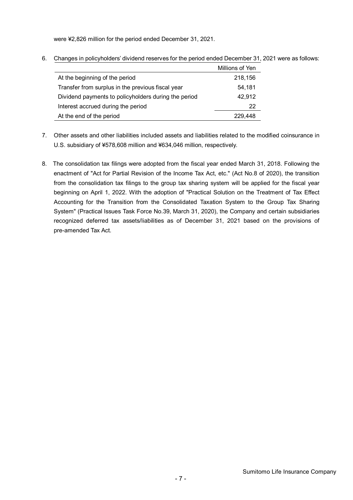were ¥2,826 million for the period ended December 31, 2021.

6. Changes in policyholders' dividend reserves for the period ended December 31, 2021 were as follows:

|                                                      | Millions of Yen |
|------------------------------------------------------|-----------------|
| At the beginning of the period                       | 218,156         |
| Transfer from surplus in the previous fiscal year    | 54,181          |
| Dividend payments to policyholders during the period | 42,912          |
| Interest accrued during the period                   | 22              |
| At the end of the period                             | 229,448         |

- 7. Other assets and other liabilities included assets and liabilities related to the modified coinsurance in U.S. subsidiary of ¥578,608 million and ¥634,046 million, respectively.
- 8. The consolidation tax filings were adopted from the fiscal year ended March 31, 2018. Following the enactment of "Act for Partial Revision of the Income Tax Act, etc." (Act No.8 of 2020), the transition from the consolidation tax filings to the group tax sharing system will be applied for the fiscal year beginning on April 1, 2022. With the adoption of "Practical Solution on the Treatment of Tax Effect Accounting for the Transition from the Consolidated Taxation System to the Group Tax Sharing System" (Practical Issues Task Force No.39, March 31, 2020), the Company and certain subsidiaries recognized deferred tax assets/liabilities as of December 31, 2021 based on the provisions of pre-amended Tax Act.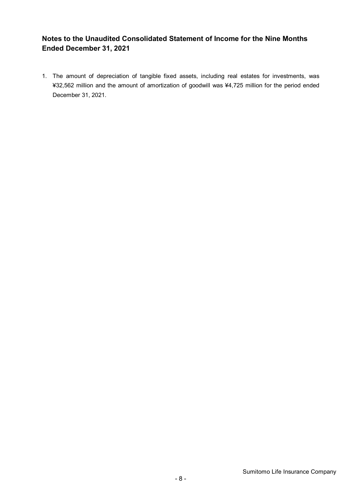## **Notes to the Unaudited Consolidated Statement of Income for the Nine Months Ended December 31, 2021**

1. The amount of depreciation of tangible fixed assets, including real estates for investments, was ¥32,562 million and the amount of amortization of goodwill was ¥4,725 million for the period ended December 31, 2021.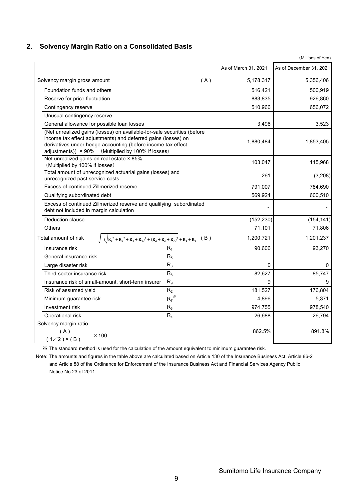### **2. Solvency Margin Ratio on a Consolidated Basis**

|                                                                                                                                                                                                                                                                | As of March 31, 2021 | As of December 31, 2021 |
|----------------------------------------------------------------------------------------------------------------------------------------------------------------------------------------------------------------------------------------------------------------|----------------------|-------------------------|
| Solvency margin gross amount<br>(A)                                                                                                                                                                                                                            | 5,178,317            | 5,356,406               |
| Foundation funds and others                                                                                                                                                                                                                                    | 516,421              | 500,919                 |
| Reserve for price fluctuation                                                                                                                                                                                                                                  | 883,835              | 926,860                 |
| Contingency reserve                                                                                                                                                                                                                                            | 510,966              | 656,072                 |
| Unusual contingency reserve                                                                                                                                                                                                                                    |                      |                         |
| General allowance for possible loan losses                                                                                                                                                                                                                     | 3,496                | 3,523                   |
| (Net unrealized gains (losses) on available-for-sale securities (before<br>income tax effect adjustments) and deferred gains (losses) on<br>derivatives under hedge accounting (before income tax effect<br>adjustments)) × 90% (Multiplied by 100% if losses) | 1,880,484            | 1,853,405               |
| Net unrealized gains on real estate × 85%<br>(Multiplied by 100% if losses)                                                                                                                                                                                    | 103,047              | 115,968                 |
| Total amount of unrecognized actuarial gains (losses) and<br>unrecognized past service costs                                                                                                                                                                   | 261                  | (3,208)                 |
| Excess of continued Zillmerized reserve                                                                                                                                                                                                                        | 791,007              | 784,690                 |
| Qualifying subordinated debt                                                                                                                                                                                                                                   | 569,924              | 600,510                 |
| Excess of continued Zillmerized reserve and qualifying subordinated<br>debt not included in margin calculation                                                                                                                                                 |                      |                         |
| Deduction clause                                                                                                                                                                                                                                               | (152, 230)           | (154, 141)              |
| Others                                                                                                                                                                                                                                                         | 71,101               | 71,806                  |
| $\int (\sqrt{R_1^2 + R_5^2 + R_8 + R_9)^2 + (R_2 + R_3 + R_7)^2 + R_4 + R_6}$ (B)<br>Total amount of risk                                                                                                                                                      | 1,200,721            | 1,201,237               |
| $R_1$<br>Insurance risk                                                                                                                                                                                                                                        | 90,606               | 93,270                  |
| R <sub>5</sub><br>General insurance risk                                                                                                                                                                                                                       |                      |                         |
| $R_6$<br>Large disaster risk                                                                                                                                                                                                                                   | 0                    | 0                       |
| $R_8$<br>Third-sector insurance risk                                                                                                                                                                                                                           | 82,627               | 85,747                  |
| R <sub>9</sub><br>Insurance risk of small-amount, short-term insurer                                                                                                                                                                                           | 9                    | 9                       |
| R <sub>2</sub><br>Risk of assumed yield                                                                                                                                                                                                                        | 181,527              | 176,804                 |
| $R_7^*$<br>Minimum guarantee risk                                                                                                                                                                                                                              | 4,896                | 5,371                   |
| $R_3$<br>Investment risk                                                                                                                                                                                                                                       | 974,755              | 978,540                 |
| $R_4$<br>Operational risk                                                                                                                                                                                                                                      | 26,688               | 26,794                  |
| Solvency margin ratio<br>$\frac{(A)}{(1/2) \times (B)}$ × 100                                                                                                                                                                                                  | 862.5%               | 891.8%                  |

※ The standard method is used for the calculation of the amount equivalent to minimum guarantee risk.

Note: The amounts and figures in the table above are calculated based on Article 130 of the Insurance Business Act, Article 86-2 and Article 88 of the Ordinance for Enforcement of the Insurance Business Act and Financial Services Agency Public Notice No.23 of 2011.

(Millions of Yen)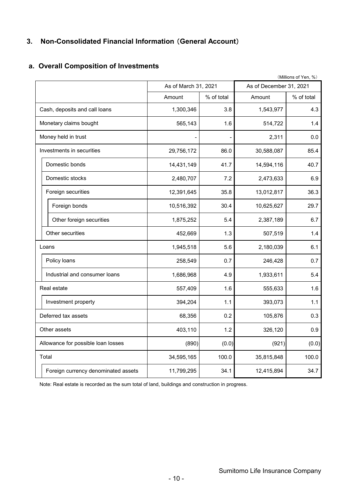# **3. Non-Consolidated Financial Information** (**General Account**)

## **a. Overall Composition of Investments**

| (Millions of Yen, %)                |                      |            |                         |            |  |  |  |  |
|-------------------------------------|----------------------|------------|-------------------------|------------|--|--|--|--|
|                                     | As of March 31, 2021 |            | As of December 31, 2021 |            |  |  |  |  |
|                                     | Amount               | % of total | Amount                  | % of total |  |  |  |  |
| Cash, deposits and call loans       | 1,300,346            | 3.8        | 1,543,977               | 4.3        |  |  |  |  |
| Monetary claims bought              | 565,143              | 1.6        | 514,722                 | 1.4        |  |  |  |  |
| Money held in trust                 |                      |            | 2,311                   | 0.0        |  |  |  |  |
| Investments in securities           | 29,756,172           | 86.0       | 30,588,087              | 85.4       |  |  |  |  |
| Domestic bonds                      | 14,431,149           | 41.7       | 14,594,116              | 40.7       |  |  |  |  |
| Domestic stocks                     | 2,480,707            | 7.2        | 2,473,633               | 6.9        |  |  |  |  |
| Foreign securities                  | 12,391,645           | 35.8       | 13,012,817              | 36.3       |  |  |  |  |
| Foreign bonds                       | 10,516,392           | 30.4       | 10,625,627              | 29.7       |  |  |  |  |
| Other foreign securities            | 1,875,252            | 5.4        | 2,387,189               | 6.7        |  |  |  |  |
| Other securities                    | 452,669              | 1.3        | 507,519                 | 1.4        |  |  |  |  |
| Loans                               | 1,945,518            | 5.6        | 2,180,039               | 6.1        |  |  |  |  |
| Policy loans                        | 258,549              | 0.7        | 246,428                 | 0.7        |  |  |  |  |
| Industrial and consumer loans       | 1,686,968            | 4.9        | 1,933,611               | 5.4        |  |  |  |  |
| Real estate                         | 557,409              | 1.6        | 555,633                 | 1.6        |  |  |  |  |
| Investment property                 | 394,204              | 1.1        | 393,073                 | 1.1        |  |  |  |  |
| Deferred tax assets                 | 68,356               | 0.2        | 105,876                 | 0.3        |  |  |  |  |
| Other assets                        | 403,110              | 1.2        | 326,120                 | 0.9        |  |  |  |  |
| Allowance for possible loan losses  | (890)                | (0.0)      | (921)                   | (0.0)      |  |  |  |  |
| Total                               | 34,595,165           | 100.0      | 35,815,848              | 100.0      |  |  |  |  |
| Foreign currency denominated assets | 11,799,295           | 34.1       | 12,415,894              | 34.7       |  |  |  |  |

Note: Real estate is recorded as the sum total of land, buildings and construction in progress.

Sumitomo Life Insurance Company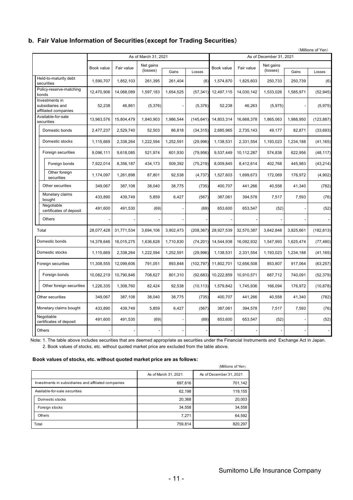### **b. Fair Value Information of Securities**(**except for Trading Securities**)

|                                                            |                      |            |                       |           |            |            |            |                         |           | (Millions of Yen) |
|------------------------------------------------------------|----------------------|------------|-----------------------|-----------|------------|------------|------------|-------------------------|-----------|-------------------|
|                                                            | As of March 31, 2021 |            |                       |           |            |            |            | As of December 31, 2021 |           |                   |
|                                                            | Book value           | Fair value | Net gains<br>(losses) | Gains     | Losses     | Book value | Fair value | Net gains<br>(losses)   | Gains     | Losses            |
| Held-to-maturity debt<br>securities                        | 1,590,707            | 1,852,103  | 261,395               | 261.404   | (8)        | 1,574,870  | 1,825,603  | 250.733                 | 250.739   | (6)               |
| Policy-reserve-matching<br>bonds                           | 12,470,906           | 14,068,089 | 1,597,183             | 1,654,525 | (57, 341)  | 12,497,115 | 14,030,142 | 1,533,026               | 1,585,971 | (52, 945)         |
| Investments in<br>subsidiaries and<br>affiliated companies | 52,238               | 46,861     | (5,376)               |           | (5,376)    | 52,238     | 46,263     | (5,975)                 |           | (5,975)           |
| Available-for-sale<br>securities                           | 13,963,576           | 15.804.479 | 1.840.903             | 1,986,544 | (145.641)  | 14,803,314 | 16.668.378 | 1.865.063               | 1.988.950 | (123, 887)        |
| Domestic bonds                                             | 2,477,237            | 2,529,740  | 52,503                | 86,818    | (34, 315)  | 2,685,965  | 2,735,143  | 49,177                  | 82,871    | (33, 693)         |
| Domestic stocks                                            | 1,115,669            | 2,338,264  | 1,222,594             | 1,252,591 | (29, 996)  | 1,138,531  | 2,331,554  | 1,193,023               | 1,234,188 | (41, 165)         |
| Foreign securities                                         | 9,096,111            | 9,618,085  | 521,974               | 601,930   | (79, 956)  | 9,537,449  | 10,112,287 | 574,838                 | 622,956   | (48, 117)         |
| Foreign bonds                                              | 7,922,014            | 8,356,187  | 434,173               | 509,392   | (75, 219)  | 8,009,845  | 8,412,614  | 402,768                 | 445,983   | (43, 214)         |
| Other foreign<br>securities                                | 1,174,097            | 1,261,898  | 87,801                | 92,538    | (4,737)    | 1,527,603  | 1,699,673  | 172,069                 | 176,972   | (4,902)           |
| Other securities                                           | 349,067              | 387,108    | 38,040                | 38,775    | (735)      | 400,707    | 441,266    | 40,558                  | 41,340    | (782)             |
| Monetary claims<br>bought                                  | 433,890              | 439.749    | 5,859                 | 6,427     | (567)      | 387,061    | 394,578    | 7,517                   | 7,593     | (76)              |
| Negotiable<br>certificates of deposit                      | 491,600              | 491,530    | (69)                  |           | (69)       | 653,600    | 653,547    | (52)                    |           | (52)              |
| <b>Others</b>                                              |                      |            |                       |           |            |            |            |                         |           |                   |
| Total                                                      | 28,077,428           | 31,771,534 | 3,694,106             | 3,902,473 | (208, 367) | 28,927,539 | 32,570,387 | 3,642,848               | 3,825,661 | (182, 813)        |
| Domestic bonds                                             | 14.378.646           | 16,015,275 | 1,636,628             | 1,710,830 | (74, 201)  | 14,544,938 | 16,092,932 | 1,547,993               | 1,625,474 | (77, 480)         |
| Domestic stocks                                            | 1,115,669            | 2,338,264  | 1,222,594             | 1,252,591 | (29,996)   | 1,138,531  | 2,331,554  | 1,193,023               | 1,234,188 | (41, 165)         |
| Foreign securities                                         | 11,308,555           | 12,099,606 | 791,051               | 893,848   | (102, 797) | 11,802,701 | 12,656,508 | 853,807                 | 917,064   | (63, 257)         |
| Foreign bonds                                              | 10,082,219           | 10,790,846 | 708,627               | 801,310   | (92, 683)  | 10,222,859 | 10,910,571 | 687,712                 | 740,091   | (52, 379)         |
| Other foreign securities                                   | 1,226,335            | 1,308,760  | 82,424                | 92,538    | (10, 113)  | 1,579,842  | 1,745,936  | 166,094                 | 176,972   | (10, 878)         |
| Other securities                                           | 349,067              | 387,108    | 38,040                | 38,775    | (735)      | 400,707    | 441,266    | 40,558                  | 41,340    | (782)             |
| Monetary claims bought                                     | 433,890              | 439,749    | 5,859                 | 6,427     | (567)      | 387,061    | 394,578    | 7,517                   | 7,593     | (76)              |
| Negotiable<br>certificates of deposit                      | 491,600              | 491,530    | (69)                  |           | (69)       | 653,600    | 653,547    | (52)                    |           | (52)              |
| Others                                                     |                      |            |                       |           |            |            |            |                         |           |                   |

Note: 1. The table above includes securities that are deemed appropriate as securities under the Financial Instruments and Exchange Act in Japan. 2. Book values of stocks, etc. without quoted market price are excluded from the table above.

#### **Book values of stocks, etc. without quoted market price are as follows:**

|                                                      |                      | (Millions of Yen)       |
|------------------------------------------------------|----------------------|-------------------------|
|                                                      | As of March 31, 2021 | As of December 31, 2021 |
| Investments in subsidiaries and affiliated companies | 697,616              | 701,142                 |
| Available-for-sale securities                        | 62,198               | 119,155                 |
| Domestic stocks                                      | 20,368               | 20,003                  |
| Foreign stocks                                       | 34,558               | 34,558                  |
| Others                                               | 7,271                | 64,592                  |
| Total                                                | 759,814              | 820,297                 |